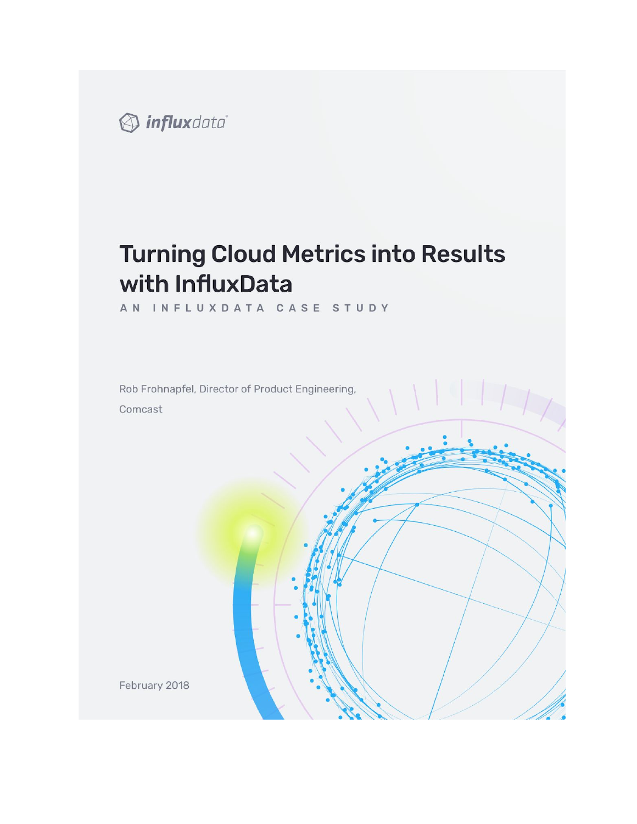

# **Turning Cloud Metrics into Results** with InfluxData

AN INFLUXDATA CASE STUDY

Rob Frohnapfel, Director of Product Engineering, Comcast

February 2018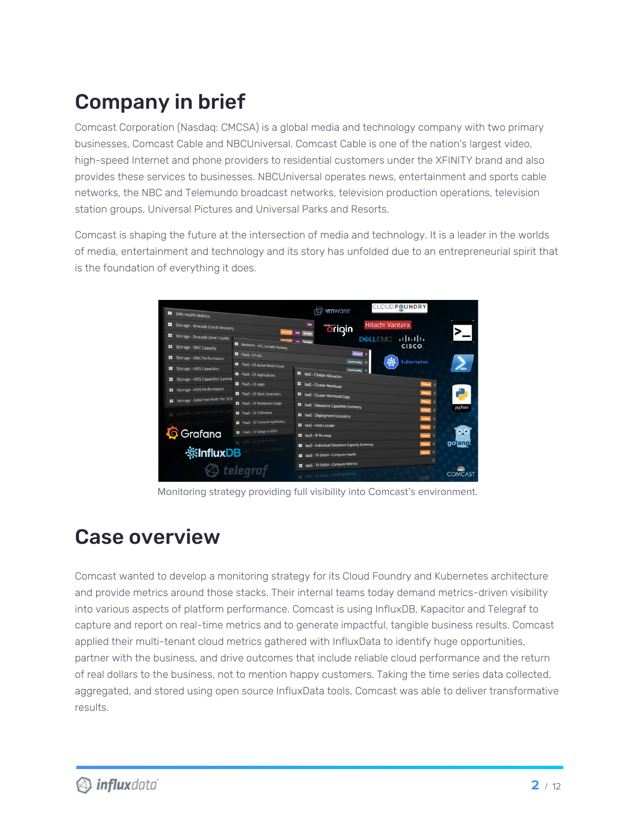# Company in brief

Comcast Corporation (Nasdaq: CMCSA) is a global media and technology company with two primary businesses, Comcast Cable and NBCUniversal. Comcast Cable is one of the nation's largest video, high-speed Internet and phone providers to residential customers under the XFINITY brand and also provides these services to businesses. NBCUniversal operates news, entertainment and sports cable networks, the NBC and Telemundo broadcast networks, television production operations, television station groups, Universal Pictures and Universal Parks and Resorts.

Comcast is shaping the future at the intersection of media and technology. It is a leader in the worlds of media, entertainment and technology and its story has unfolded due to an entrepreneurial spirit that is the foundation of everything it does.



Monitoring strategy providing full visibility into Comcast's environment.

## Case overview

Comcast wanted to develop a monitoring strategy for its Cloud Foundry and Kubernetes architecture and provide metrics around those stacks. Their internal teams today demand metrics-driven visibility into various aspects of platform performance. Comcast is using InfluxDB, Kapacitor and Telegraf to capture and report on real-time metrics and to generate impactful, tangible business results. Comcast applied their multi-tenant cloud metrics gathered with InfluxData to identify huge opportunities, partner with the business, and drive outcomes that include reliable cloud performance and the return of real dollars to the business, not to mention happy customers. Taking the time series data collected, aggregated, and stored using open source InfluxData tools, Comcast was able to deliver transformative results.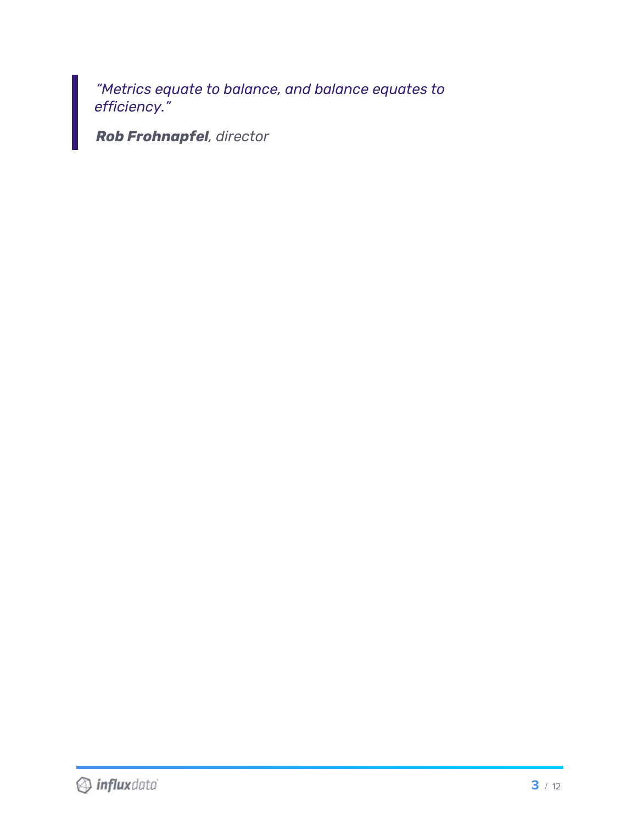*"Metrics equate to balance, and balance equates to efficiency."*

*Rob Frohnapfel, director*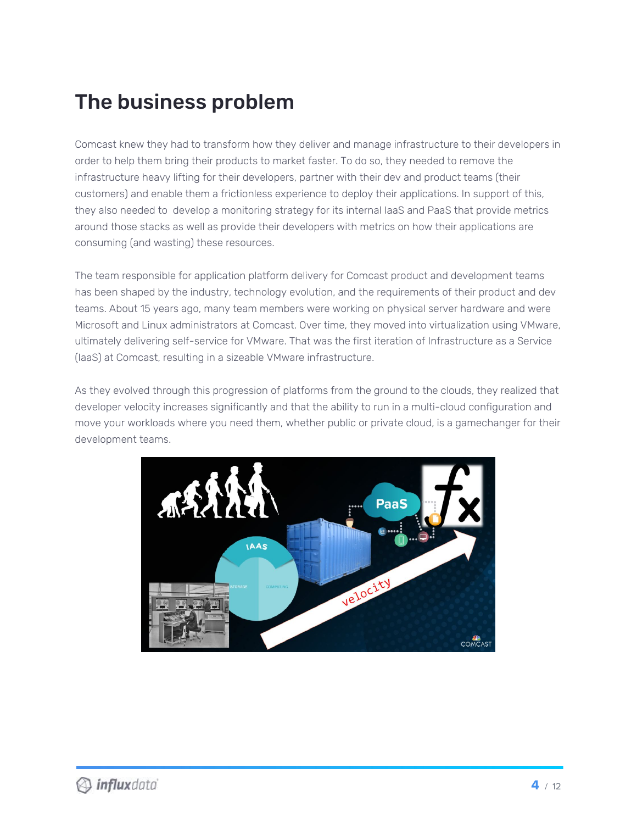## The business problem

Comcast knew they had to transform how they deliver and manage infrastructure to their developers in order to help them bring their products to market faster. To do so, they needed to remove the infrastructure heavy lifting for their developers, partner with their dev and product teams (their customers) and enable them a frictionless experience to deploy their applications. In support of this, they also needed to develop a monitoring strategy for its internal IaaS and PaaS that provide metrics around those stacks as well as provide their developers with metrics on how their applications are consuming (and wasting) these resources.

The team responsible for application platform delivery for Comcast product and development teams has been shaped by the industry, technology evolution, and the requirements of their product and dev teams. About 15 years ago, many team members were working on physical server hardware and were Microsoft and Linux administrators at Comcast. Over time, they moved into virtualization using VMware, ultimately delivering self-service for VMware. That was the first iteration of Infrastructure as a Service (IaaS) at Comcast, resulting in a sizeable VMware infrastructure.

As they evolved through this progression of platforms from the ground to the clouds, they realized that developer velocity increases significantly and that the ability to run in a multi-cloud configuration and move your workloads where you need them, whether public or private cloud, is a gamechanger for their development teams.

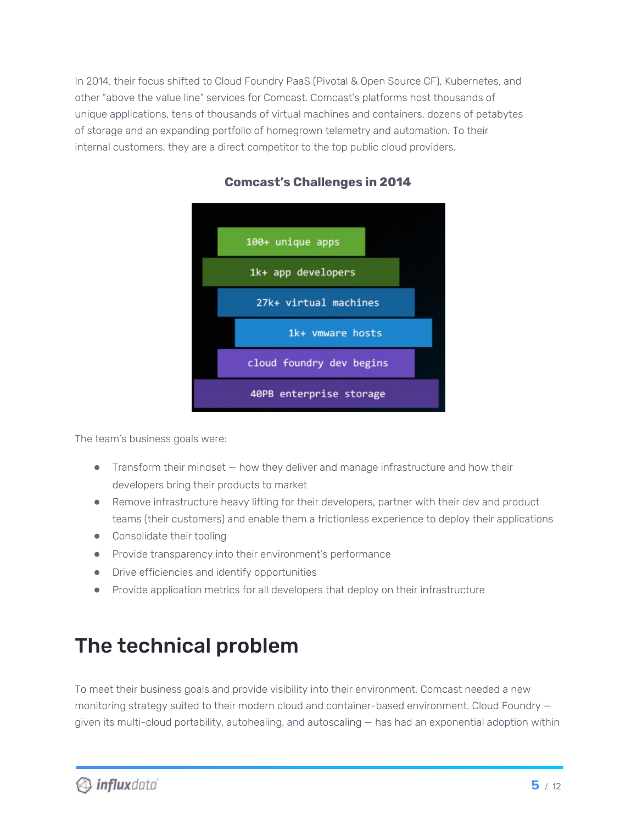In 2014, their focus shifted to Cloud Foundry PaaS (Pivotal & Open Source CF), Kubernetes, and other "above the value line" services for Comcast. Comcast's platforms host thousands of unique applications, tens of thousands of virtual machines and containers, dozens of petabytes of storage and an expanding portfolio of homegrown telemetry and automation. To their internal customers, they are a direct competitor to the top public cloud providers.



#### **Comcast's Challenges in 2014**

The team's business goals were:

- Transform their mindset how they deliver and manage infrastructure and how their developers bring their products to market
- Remove infrastructure heavy lifting for their developers, partner with their dev and product teams (their customers) and enable them a frictionless experience to deploy their applications
- Consolidate their tooling
- Provide transparency into their environment's performance
- Drive efficiencies and identify opportunities
- Provide application metrics for all developers that deploy on their infrastructure

## The technical problem

To meet their business goals and provide visibility into their environment, Comcast needed a new monitoring strategy suited to their modern cloud and container-based environment. Cloud Foundry given its multi-cloud portability, autohealing, and autoscaling — has had an exponential adoption within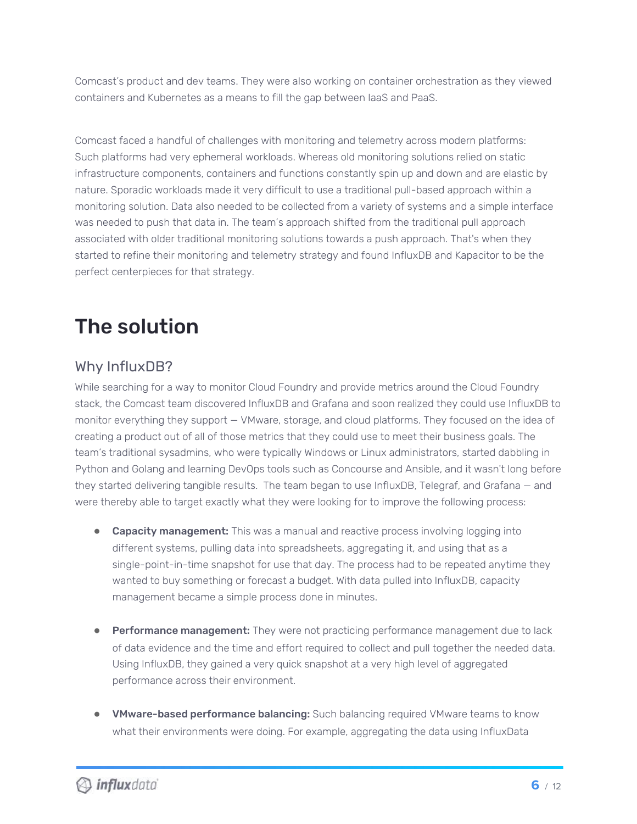Comcast's product and dev teams. They were also working on container orchestration as they viewed containers and Kubernetes as a means to fill the gap between IaaS and PaaS.

Comcast faced a handful of challenges with monitoring and telemetry across modern platforms: Such platforms had very ephemeral workloads. Whereas old monitoring solutions relied on static infrastructure components, containers and functions constantly spin up and down and are elastic by nature. Sporadic workloads made it very difficult to use a traditional pull-based approach within a monitoring solution. Data also needed to be collected from a variety of systems and a simple interface was needed to push that data in. The team's approach shifted from the traditional pull approach associated with older traditional monitoring solutions towards a push approach. That's when they started to refine their monitoring and telemetry strategy and found InfluxDB and Kapacitor to be the perfect centerpieces for that strategy.

## The solution

### Why InfluxDB?

While searching for a way to monitor Cloud Foundry and provide metrics around the Cloud Foundry stack, the Comcast team discovered InfluxDB and Grafana and soon realized they could use InfluxDB to monitor everything they support — VMware, storage, and cloud platforms. They focused on the idea of creating a product out of all of those metrics that they could use to meet their business goals. The team's traditional sysadmins, who were typically Windows or Linux administrators, started dabbling in Python and Golang and learning DevOps tools such as Concourse and Ansible, and it wasn't long before they started delivering tangible results. The team began to use InfluxDB, Telegraf, and Grafana — and were thereby able to target exactly what they were looking for to improve the following process:

- Capacity management: This was a manual and reactive process involving logging into different systems, pulling data into spreadsheets, aggregating it, and using that as a single-point-in-time snapshot for use that day. The process had to be repeated anytime they wanted to buy something or forecast a budget. With data pulled into InfluxDB, capacity management became a simple process done in minutes.
- **Performance management:** They were not practicing performance management due to lack of data evidence and the time and effort required to collect and pull together the needed data. Using InfluxDB, they gained a very quick snapshot at a very high level of aggregated performance across their environment.
- VMware-based performance balancing: Such balancing required VMware teams to know what their environments were doing. For example, aggregating the data using InfluxData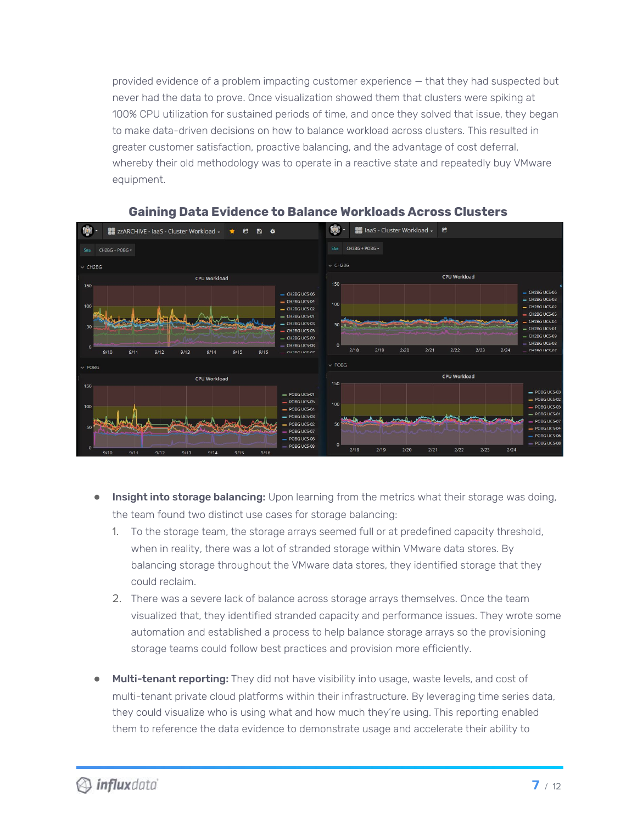provided evidence of a problem impacting customer experience — that they had suspected but never had the data to prove. Once visualization showed them that clusters were spiking at 100% CPU utilization for sustained periods of time, and once they solved that issue, they began to make data-driven decisions on how to balance workload across clusters. This resulted in greater customer satisfaction, proactive balancing, and the advantage of cost deferral, whereby their old methodology was to operate in a reactive state and repeatedly buy VMware equipment.



#### **Gaining Data Evidence to Balance Workloads Across Clusters**

- Insight into storage balancing: Upon learning from the metrics what their storage was doing, the team found two distinct use cases for storage balancing:
	- 1. To the storage team, the storage arrays seemed full or at predefined capacity threshold, when in reality, there was a lot of stranded storage within VMware data stores. By balancing storage throughout the VMware data stores, they identified storage that they could reclaim.
	- 2. There was a severe lack of balance across storage arrays themselves. Once the team visualized that, they identified stranded capacity and performance issues. They wrote some automation and established a process to help balance storage arrays so the provisioning storage teams could follow best practices and provision more efficiently.
- Multi-tenant reporting: They did not have visibility into usage, waste levels, and cost of multi-tenant private cloud platforms within their infrastructure. By leveraging time series data, they could visualize who is using what and how much they're using. This reporting enabled them to reference the data evidence to demonstrate usage and accelerate their ability to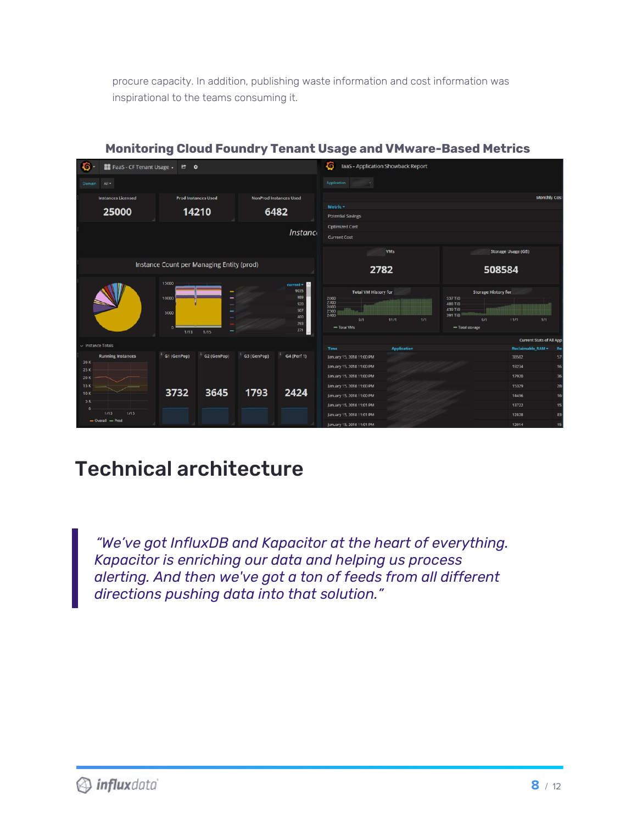procure capacity. In addition, publishing waste information and cost information was inspirational to the teams consuming it.



#### **Monitoring Cloud Foundry Tenant Usage and VMware-Based Metrics**

## Technical architecture

*"We've got InfluxDB and Kapacitor at the heart of everything. Kapacitor is enriching our data and helping us process alerting. And then we've got a ton of feeds from all different directions pushing data into that solution."*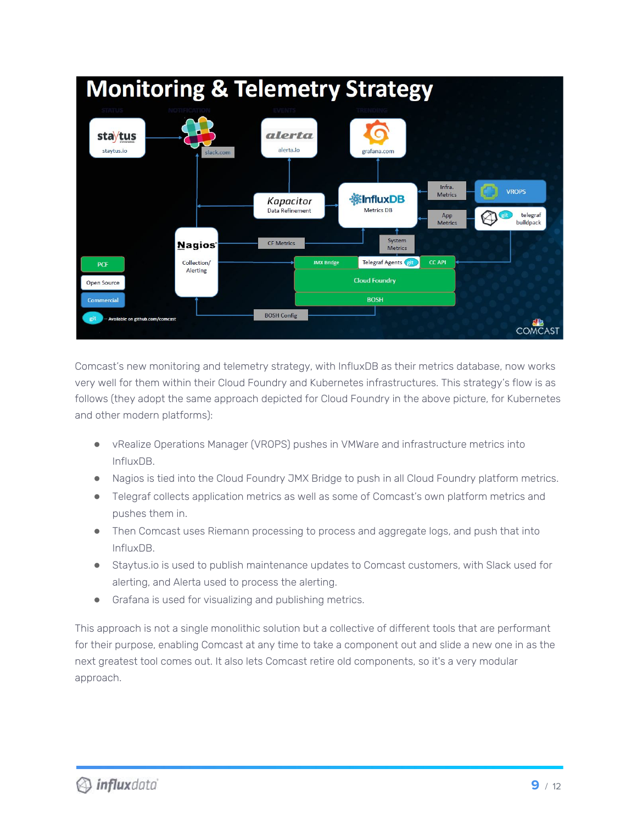

Comcast's new monitoring and telemetry strategy, with InfluxDB as their metrics database, now works very well for them within their Cloud Foundry and Kubernetes infrastructures. This strategy's flow is as follows (they adopt the same approach depicted for Cloud Foundry in the above picture, for Kubernetes and other modern platforms):

- vRealize Operations Manager (VROPS) pushes in VMWare and infrastructure metrics into InfluxDB.
- Nagios is tied into the Cloud Foundry JMX Bridge to push in all Cloud Foundry platform metrics.
- Telegraf collects application metrics as well as some of Comcast's own platform metrics and pushes them in.
- Then Comcast uses Riemann processing to process and aggregate logs, and push that into InfluxDB.
- Staytus.io is used to publish maintenance updates to Comcast customers, with Slack used for alerting, and Alerta used to process the alerting.
- Grafana is used for visualizing and publishing metrics.

This approach is not a single monolithic solution but a collective of different tools that are performant for their purpose, enabling Comcast at any time to take a component out and slide a new one in as the next greatest tool comes out. It also lets Comcast retire old components, so it's a very modular approach.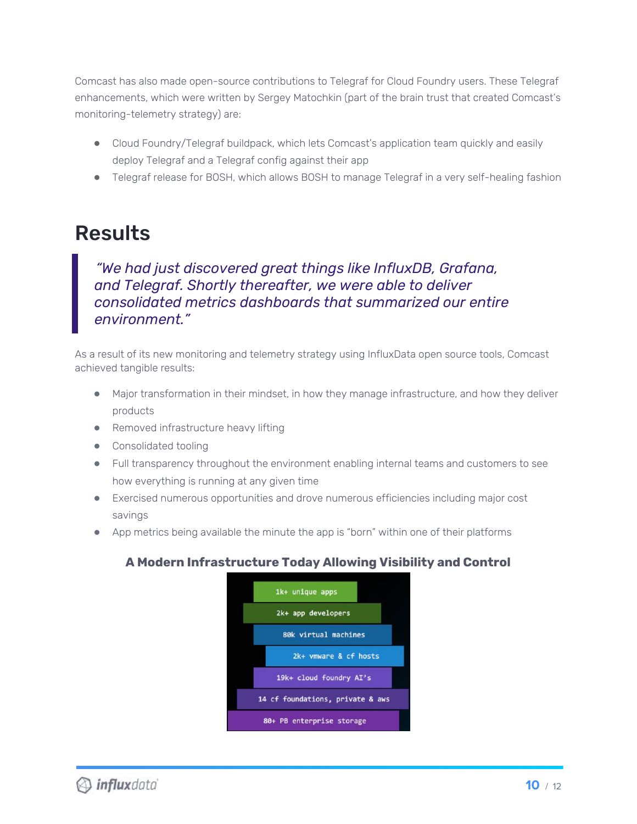Comcast has also made open-source contributions to Telegraf for Cloud Foundry users. These Telegraf enhancements, which were written by Sergey Matochkin (part of the brain trust that created Comcast's monitoring-telemetry strategy) are:

- Cloud Foundry/Telegraf buildpack, which lets Comcast's application team quickly and easily deploy Telegraf and a Telegraf config against their app
- Telegraf release for BOSH, which allows BOSH to manage Telegraf in a very self-healing fashion

### Results

*"We had just discovered great things like InfluxDB, Grafana, and Telegraf. Shortly thereafter, we were able to deliver consolidated metrics dashboards that summarized our entire environment."*

As a result of its new monitoring and telemetry strategy using InfluxData open source tools, Comcast achieved tangible results:

- Major transformation in their mindset, in how they manage infrastructure, and how they deliver products
- Removed infrastructure heavy lifting
- Consolidated tooling
- Full transparency throughout the environment enabling internal teams and customers to see how everything is running at any given time
- Exercised numerous opportunities and drove numerous efficiencies including major cost savings
- App metrics being available the minute the app is "born" within one of their platforms

### **A Modern Infrastructure Today Allowing Visibility and Control**

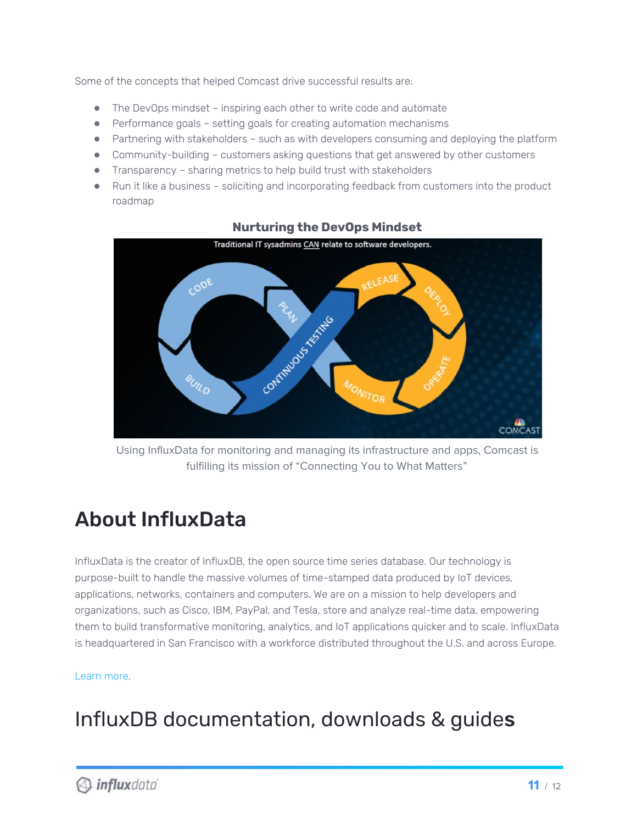Some of the concepts that helped Comcast drive successful results are:

- The DevOps mindset inspiring each other to write code and automate
- Performance goals setting goals for creating automation mechanisms
- Partnering with stakeholders such as with developers consuming and deploying the platform
- Community-building customers asking questions that get answered by other customers
- Transparency sharing metrics to help build trust with stakeholders
- Run it like a business soliciting and incorporating feedback from customers into the product roadmap



#### **Nurturing the DevOps Mindset**

Using InfluxData for monitoring and managing its infrastructure and apps, Comcast is fulfilling its mission of "Connecting You to What Matters"

## About InfluxData

InfluxData is the creator of InfluxDB, the open source time series database. Our technology is purpose-built to handle the massive volumes of time-stamped data produced by IoT devices, applications, networks, containers and computers. We are on a mission to help developers and organizations, such as Cisco, IBM, PayPal, and Tesla, store and analyze real-time data, empowering them to build transformative monitoring, analytics, and IoT applications quicker and to scale. InfluxData is headquartered in San Francisco with a workforce distributed throughout the U.S. and across Europe.

#### [Learn](http://www.influxdata.com/) more.

## InfluxDB documentation, downloads & guides